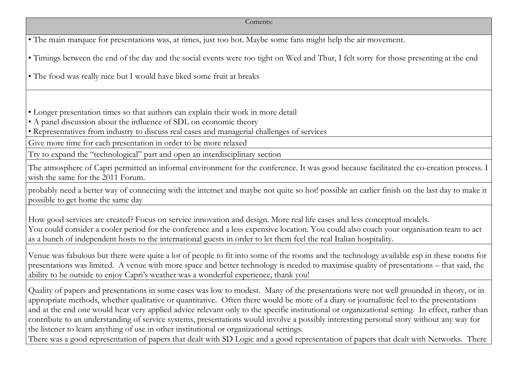| • The main marquee for presentations was, at times, just too hot. Maybe some fans might help the air movement.                                                                                                                                                                                                                                                                                                                                                                                                                                                                                                                                                                |
|-------------------------------------------------------------------------------------------------------------------------------------------------------------------------------------------------------------------------------------------------------------------------------------------------------------------------------------------------------------------------------------------------------------------------------------------------------------------------------------------------------------------------------------------------------------------------------------------------------------------------------------------------------------------------------|
| • Timings between the end of the day and the social events were too tight on Wed and Thur, I felt sorry for those presenting at the end                                                                                                                                                                                                                                                                                                                                                                                                                                                                                                                                       |
| • The food was really nice but I would have liked some fruit at breaks                                                                                                                                                                                                                                                                                                                                                                                                                                                                                                                                                                                                        |
|                                                                                                                                                                                                                                                                                                                                                                                                                                                                                                                                                                                                                                                                               |
| • Longer presentation times so that authors can explain their work in more detail                                                                                                                                                                                                                                                                                                                                                                                                                                                                                                                                                                                             |
| • A panel discussion about the influence of SDL on economic theory                                                                                                                                                                                                                                                                                                                                                                                                                                                                                                                                                                                                            |
| • Representatives from industry to discuss real cases and managerial challenges of services                                                                                                                                                                                                                                                                                                                                                                                                                                                                                                                                                                                   |
| Give more time for each presentation in order to be more relaxed                                                                                                                                                                                                                                                                                                                                                                                                                                                                                                                                                                                                              |
| Try to expand the "technological" part and open an interdisciplinary section                                                                                                                                                                                                                                                                                                                                                                                                                                                                                                                                                                                                  |
| The atmosphere of Capri permitted an informal environment for the conference. It was good because facilitated the co-creation process. I<br>wish the same for the 2011 Forum.                                                                                                                                                                                                                                                                                                                                                                                                                                                                                                 |
| probably need a better way of connecting with the internet and maybe not quite so hot! possible an earlier finish on the last day to make it<br>possible to get home the same day                                                                                                                                                                                                                                                                                                                                                                                                                                                                                             |
| How good services are created? Focus on service innovation and design. More real life cases and less conceptual models.<br>You could consider a cooler period for the conference and a less expensive location. You could also coach your organisation team to act<br>as a bunch of independent hosts to the international guests in order to let them feel the real Italian hospitality.                                                                                                                                                                                                                                                                                     |
| Venue was fabulous but there were quite a lot of people to fit into some of the rooms and the technology available esp in these rooms for<br>presentations was limited. A venue with more space and better technology is needed to maximise quality of presentations – that said, the<br>ability to be outside to enjoy Capri's weather was a wonderful experience, thank you!                                                                                                                                                                                                                                                                                                |
| Quality of papers and presentations in some cases was low to modest. Many of the presentations were not well grounded in theory, or in<br>appropriate methods, whether qualitative or quantitative. Often there would be more of a diary or journalistic feel to the presentations<br>and at the end one would hear very applied advice relevant only to the specific institutional or organizational setting. In effect, rather than<br>contribute to an understanding of service systems, presentations would involve a possibly interesting personal story without any way for<br>the listener to learn anything of use in other institutional or organizational settings. |
| There was a good representation of papers that dealt with SD Logic and a good representation of papers that dealt with Networks. There                                                                                                                                                                                                                                                                                                                                                                                                                                                                                                                                        |
|                                                                                                                                                                                                                                                                                                                                                                                                                                                                                                                                                                                                                                                                               |

Coments: